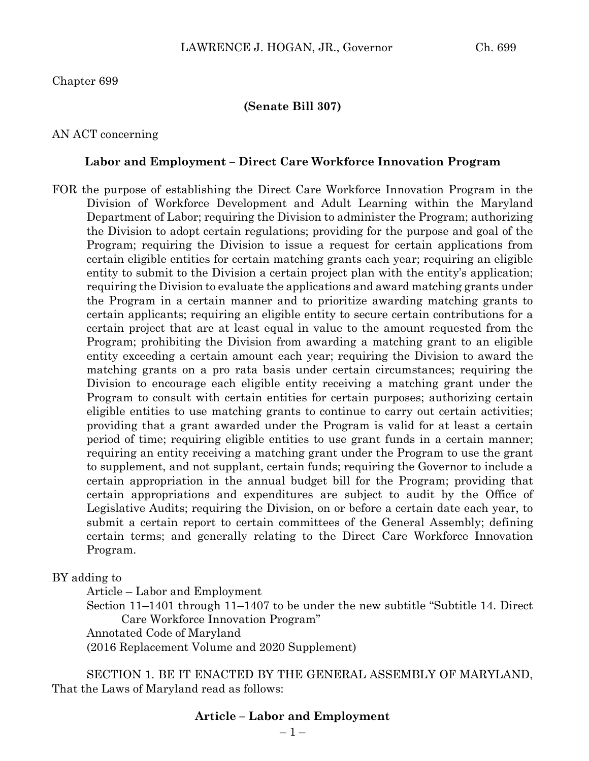## Chapter 699

### **(Senate Bill 307)**

## AN ACT concerning

#### **Labor and Employment – Direct Care Workforce Innovation Program**

FOR the purpose of establishing the Direct Care Workforce Innovation Program in the Division of Workforce Development and Adult Learning within the Maryland Department of Labor; requiring the Division to administer the Program; authorizing the Division to adopt certain regulations; providing for the purpose and goal of the Program; requiring the Division to issue a request for certain applications from certain eligible entities for certain matching grants each year; requiring an eligible entity to submit to the Division a certain project plan with the entity's application; requiring the Division to evaluate the applications and award matching grants under the Program in a certain manner and to prioritize awarding matching grants to certain applicants; requiring an eligible entity to secure certain contributions for a certain project that are at least equal in value to the amount requested from the Program; prohibiting the Division from awarding a matching grant to an eligible entity exceeding a certain amount each year; requiring the Division to award the matching grants on a pro rata basis under certain circumstances; requiring the Division to encourage each eligible entity receiving a matching grant under the Program to consult with certain entities for certain purposes; authorizing certain eligible entities to use matching grants to continue to carry out certain activities; providing that a grant awarded under the Program is valid for at least a certain period of time; requiring eligible entities to use grant funds in a certain manner; requiring an entity receiving a matching grant under the Program to use the grant to supplement, and not supplant, certain funds; requiring the Governor to include a certain appropriation in the annual budget bill for the Program; providing that certain appropriations and expenditures are subject to audit by the Office of Legislative Audits; requiring the Division, on or before a certain date each year, to submit a certain report to certain committees of the General Assembly; defining certain terms; and generally relating to the Direct Care Workforce Innovation Program.

BY adding to

Article – Labor and Employment

Section 11–1401 through 11–1407 to be under the new subtitle "Subtitle 14. Direct Care Workforce Innovation Program"

Annotated Code of Maryland

(2016 Replacement Volume and 2020 Supplement)

SECTION 1. BE IT ENACTED BY THE GENERAL ASSEMBLY OF MARYLAND, That the Laws of Maryland read as follows:

## **Article – Labor and Employment**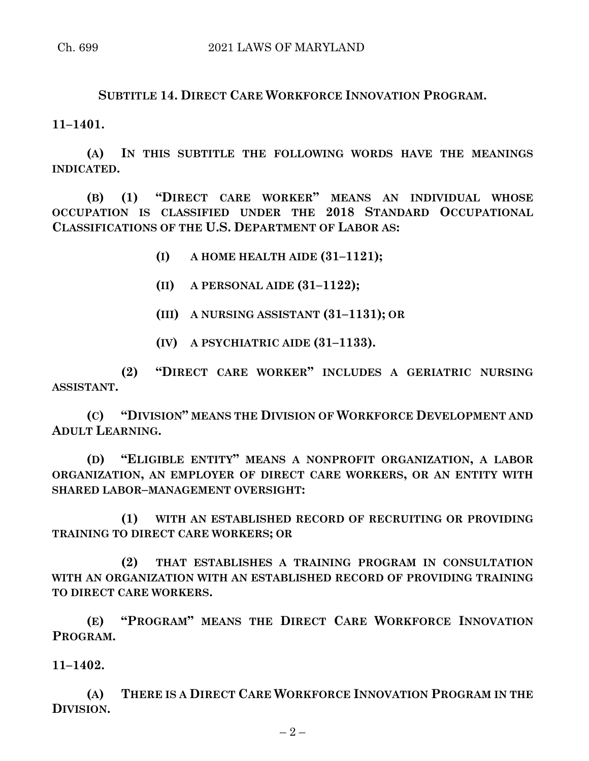# **SUBTITLE 14. DIRECT CARE WORKFORCE INNOVATION PROGRAM.**

**11–1401.**

**(A) IN THIS SUBTITLE THE FOLLOWING WORDS HAVE THE MEANINGS INDICATED.**

**(B) (1) "DIRECT CARE WORKER" MEANS AN INDIVIDUAL WHOSE OCCUPATION IS CLASSIFIED UNDER THE 2018 STANDARD OCCUPATIONAL CLASSIFICATIONS OF THE U.S. DEPARTMENT OF LABOR AS:**

- **(I) A HOME HEALTH AIDE (31–1121);**
- **(II) A PERSONAL AIDE (31–1122);**
- **(III) A NURSING ASSISTANT (31–1131); OR**
- **(IV) A PSYCHIATRIC AIDE (31–1133).**

**(2) "DIRECT CARE WORKER" INCLUDES A GERIATRIC NURSING ASSISTANT.**

**(C) "DIVISION" MEANS THE DIVISION OF WORKFORCE DEVELOPMENT AND ADULT LEARNING.**

**(D) "ELIGIBLE ENTITY" MEANS A NONPROFIT ORGANIZATION, A LABOR ORGANIZATION, AN EMPLOYER OF DIRECT CARE WORKERS, OR AN ENTITY WITH SHARED LABOR–MANAGEMENT OVERSIGHT:**

**(1) WITH AN ESTABLISHED RECORD OF RECRUITING OR PROVIDING TRAINING TO DIRECT CARE WORKERS; OR**

**(2) THAT ESTABLISHES A TRAINING PROGRAM IN CONSULTATION WITH AN ORGANIZATION WITH AN ESTABLISHED RECORD OF PROVIDING TRAINING TO DIRECT CARE WORKERS.**

**(E) "PROGRAM" MEANS THE DIRECT CARE WORKFORCE INNOVATION PROGRAM.**

**11–1402.**

**(A) THERE IS A DIRECT CARE WORKFORCE INNOVATION PROGRAM IN THE DIVISION.**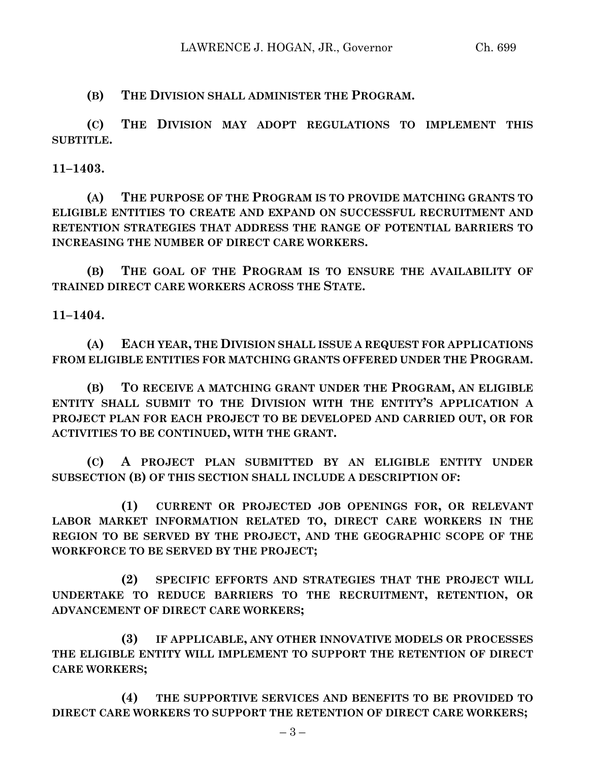**(B) THE DIVISION SHALL ADMINISTER THE PROGRAM.**

**(C) THE DIVISION MAY ADOPT REGULATIONS TO IMPLEMENT THIS SUBTITLE.**

**11–1403.**

**(A) THE PURPOSE OF THE PROGRAM IS TO PROVIDE MATCHING GRANTS TO ELIGIBLE ENTITIES TO CREATE AND EXPAND ON SUCCESSFUL RECRUITMENT AND RETENTION STRATEGIES THAT ADDRESS THE RANGE OF POTENTIAL BARRIERS TO INCREASING THE NUMBER OF DIRECT CARE WORKERS.**

**(B) THE GOAL OF THE PROGRAM IS TO ENSURE THE AVAILABILITY OF TRAINED DIRECT CARE WORKERS ACROSS THE STATE.**

**11–1404.**

**(A) EACH YEAR, THE DIVISION SHALL ISSUE A REQUEST FOR APPLICATIONS FROM ELIGIBLE ENTITIES FOR MATCHING GRANTS OFFERED UNDER THE PROGRAM.**

**(B) TO RECEIVE A MATCHING GRANT UNDER THE PROGRAM, AN ELIGIBLE ENTITY SHALL SUBMIT TO THE DIVISION WITH THE ENTITY'S APPLICATION A PROJECT PLAN FOR EACH PROJECT TO BE DEVELOPED AND CARRIED OUT, OR FOR ACTIVITIES TO BE CONTINUED, WITH THE GRANT.**

**(C) A PROJECT PLAN SUBMITTED BY AN ELIGIBLE ENTITY UNDER SUBSECTION (B) OF THIS SECTION SHALL INCLUDE A DESCRIPTION OF:**

**(1) CURRENT OR PROJECTED JOB OPENINGS FOR, OR RELEVANT LABOR MARKET INFORMATION RELATED TO, DIRECT CARE WORKERS IN THE REGION TO BE SERVED BY THE PROJECT, AND THE GEOGRAPHIC SCOPE OF THE WORKFORCE TO BE SERVED BY THE PROJECT;**

**(2) SPECIFIC EFFORTS AND STRATEGIES THAT THE PROJECT WILL UNDERTAKE TO REDUCE BARRIERS TO THE RECRUITMENT, RETENTION, OR ADVANCEMENT OF DIRECT CARE WORKERS;**

**(3) IF APPLICABLE, ANY OTHER INNOVATIVE MODELS OR PROCESSES THE ELIGIBLE ENTITY WILL IMPLEMENT TO SUPPORT THE RETENTION OF DIRECT CARE WORKERS;**

**(4) THE SUPPORTIVE SERVICES AND BENEFITS TO BE PROVIDED TO DIRECT CARE WORKERS TO SUPPORT THE RETENTION OF DIRECT CARE WORKERS;**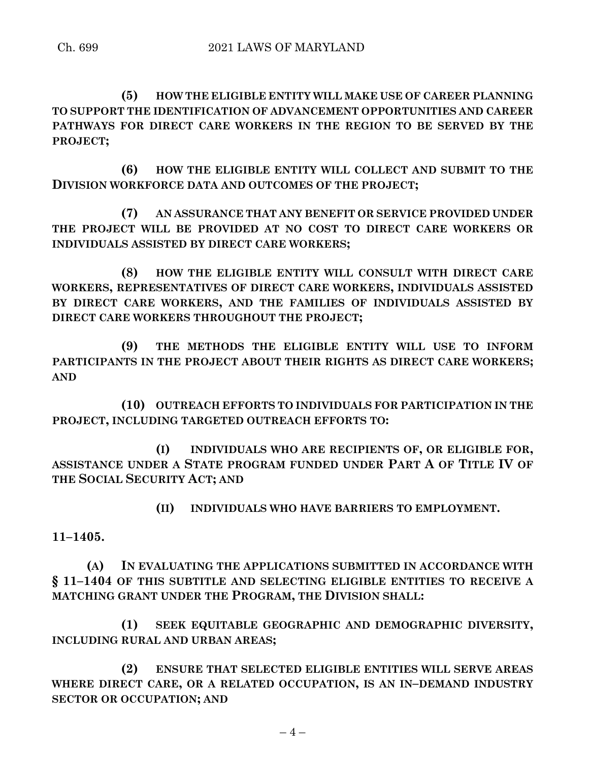**(5) HOW THE ELIGIBLE ENTITY WILL MAKE USE OF CAREER PLANNING TO SUPPORT THE IDENTIFICATION OF ADVANCEMENT OPPORTUNITIES AND CAREER PATHWAYS FOR DIRECT CARE WORKERS IN THE REGION TO BE SERVED BY THE PROJECT;**

**(6) HOW THE ELIGIBLE ENTITY WILL COLLECT AND SUBMIT TO THE DIVISION WORKFORCE DATA AND OUTCOMES OF THE PROJECT;**

**(7) AN ASSURANCE THAT ANY BENEFIT OR SERVICE PROVIDED UNDER THE PROJECT WILL BE PROVIDED AT NO COST TO DIRECT CARE WORKERS OR INDIVIDUALS ASSISTED BY DIRECT CARE WORKERS;**

**(8) HOW THE ELIGIBLE ENTITY WILL CONSULT WITH DIRECT CARE WORKERS, REPRESENTATIVES OF DIRECT CARE WORKERS, INDIVIDUALS ASSISTED BY DIRECT CARE WORKERS, AND THE FAMILIES OF INDIVIDUALS ASSISTED BY DIRECT CARE WORKERS THROUGHOUT THE PROJECT;**

**(9) THE METHODS THE ELIGIBLE ENTITY WILL USE TO INFORM PARTICIPANTS IN THE PROJECT ABOUT THEIR RIGHTS AS DIRECT CARE WORKERS; AND**

**(10) OUTREACH EFFORTS TO INDIVIDUALS FOR PARTICIPATION IN THE PROJECT, INCLUDING TARGETED OUTREACH EFFORTS TO:**

**(I) INDIVIDUALS WHO ARE RECIPIENTS OF, OR ELIGIBLE FOR, ASSISTANCE UNDER A STATE PROGRAM FUNDED UNDER PART A OF TITLE IV OF THE SOCIAL SECURITY ACT; AND**

**(II) INDIVIDUALS WHO HAVE BARRIERS TO EMPLOYMENT.**

**11–1405.**

**(A) IN EVALUATING THE APPLICATIONS SUBMITTED IN ACCORDANCE WITH § 11–1404 OF THIS SUBTITLE AND SELECTING ELIGIBLE ENTITIES TO RECEIVE A MATCHING GRANT UNDER THE PROGRAM, THE DIVISION SHALL:**

**(1) SEEK EQUITABLE GEOGRAPHIC AND DEMOGRAPHIC DIVERSITY, INCLUDING RURAL AND URBAN AREAS;**

**(2) ENSURE THAT SELECTED ELIGIBLE ENTITIES WILL SERVE AREAS WHERE DIRECT CARE, OR A RELATED OCCUPATION, IS AN IN–DEMAND INDUSTRY SECTOR OR OCCUPATION; AND**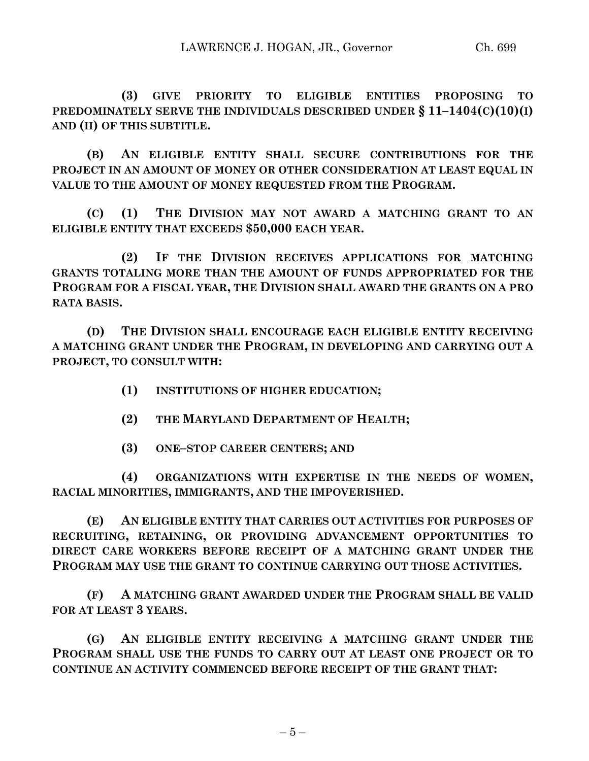**(3) GIVE PRIORITY TO ELIGIBLE ENTITIES PROPOSING TO PREDOMINATELY SERVE THE INDIVIDUALS DESCRIBED UNDER § 11–1404(C)(10)(I) AND (II) OF THIS SUBTITLE.**

**(B) AN ELIGIBLE ENTITY SHALL SECURE CONTRIBUTIONS FOR THE PROJECT IN AN AMOUNT OF MONEY OR OTHER CONSIDERATION AT LEAST EQUAL IN VALUE TO THE AMOUNT OF MONEY REQUESTED FROM THE PROGRAM.**

**(C) (1) THE DIVISION MAY NOT AWARD A MATCHING GRANT TO AN ELIGIBLE ENTITY THAT EXCEEDS \$50,000 EACH YEAR.**

**(2) IF THE DIVISION RECEIVES APPLICATIONS FOR MATCHING GRANTS TOTALING MORE THAN THE AMOUNT OF FUNDS APPROPRIATED FOR THE PROGRAM FOR A FISCAL YEAR, THE DIVISION SHALL AWARD THE GRANTS ON A PRO RATA BASIS.**

**(D) THE DIVISION SHALL ENCOURAGE EACH ELIGIBLE ENTITY RECEIVING A MATCHING GRANT UNDER THE PROGRAM, IN DEVELOPING AND CARRYING OUT A PROJECT, TO CONSULT WITH:**

- **(1) INSTITUTIONS OF HIGHER EDUCATION;**
- **(2) THE MARYLAND DEPARTMENT OF HEALTH;**
- **(3) ONE–STOP CAREER CENTERS; AND**

**(4) ORGANIZATIONS WITH EXPERTISE IN THE NEEDS OF WOMEN, RACIAL MINORITIES, IMMIGRANTS, AND THE IMPOVERISHED.**

**(E) AN ELIGIBLE ENTITY THAT CARRIES OUT ACTIVITIES FOR PURPOSES OF RECRUITING, RETAINING, OR PROVIDING ADVANCEMENT OPPORTUNITIES TO DIRECT CARE WORKERS BEFORE RECEIPT OF A MATCHING GRANT UNDER THE PROGRAM MAY USE THE GRANT TO CONTINUE CARRYING OUT THOSE ACTIVITIES.**

**(F) A MATCHING GRANT AWARDED UNDER THE PROGRAM SHALL BE VALID FOR AT LEAST 3 YEARS.**

**(G) AN ELIGIBLE ENTITY RECEIVING A MATCHING GRANT UNDER THE PROGRAM SHALL USE THE FUNDS TO CARRY OUT AT LEAST ONE PROJECT OR TO CONTINUE AN ACTIVITY COMMENCED BEFORE RECEIPT OF THE GRANT THAT:**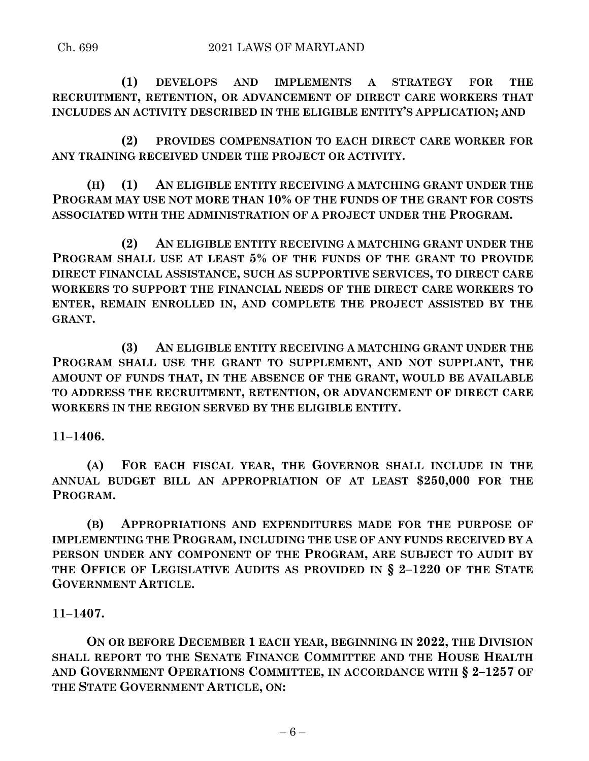**(1) DEVELOPS AND IMPLEMENTS A STRATEGY FOR THE RECRUITMENT, RETENTION, OR ADVANCEMENT OF DIRECT CARE WORKERS THAT INCLUDES AN ACTIVITY DESCRIBED IN THE ELIGIBLE ENTITY'S APPLICATION; AND**

**(2) PROVIDES COMPENSATION TO EACH DIRECT CARE WORKER FOR ANY TRAINING RECEIVED UNDER THE PROJECT OR ACTIVITY.**

**(H) (1) AN ELIGIBLE ENTITY RECEIVING A MATCHING GRANT UNDER THE PROGRAM MAY USE NOT MORE THAN 10% OF THE FUNDS OF THE GRANT FOR COSTS ASSOCIATED WITH THE ADMINISTRATION OF A PROJECT UNDER THE PROGRAM.**

**(2) AN ELIGIBLE ENTITY RECEIVING A MATCHING GRANT UNDER THE PROGRAM SHALL USE AT LEAST 5% OF THE FUNDS OF THE GRANT TO PROVIDE DIRECT FINANCIAL ASSISTANCE, SUCH AS SUPPORTIVE SERVICES, TO DIRECT CARE WORKERS TO SUPPORT THE FINANCIAL NEEDS OF THE DIRECT CARE WORKERS TO ENTER, REMAIN ENROLLED IN, AND COMPLETE THE PROJECT ASSISTED BY THE GRANT.**

**(3) AN ELIGIBLE ENTITY RECEIVING A MATCHING GRANT UNDER THE PROGRAM SHALL USE THE GRANT TO SUPPLEMENT, AND NOT SUPPLANT, THE AMOUNT OF FUNDS THAT, IN THE ABSENCE OF THE GRANT, WOULD BE AVAILABLE TO ADDRESS THE RECRUITMENT, RETENTION, OR ADVANCEMENT OF DIRECT CARE WORKERS IN THE REGION SERVED BY THE ELIGIBLE ENTITY.**

**11–1406.**

**(A) FOR EACH FISCAL YEAR, THE GOVERNOR SHALL INCLUDE IN THE ANNUAL BUDGET BILL AN APPROPRIATION OF AT LEAST \$250,000 FOR THE PROGRAM.**

**(B) APPROPRIATIONS AND EXPENDITURES MADE FOR THE PURPOSE OF IMPLEMENTING THE PROGRAM, INCLUDING THE USE OF ANY FUNDS RECEIVED BY A PERSON UNDER ANY COMPONENT OF THE PROGRAM, ARE SUBJECT TO AUDIT BY THE OFFICE OF LEGISLATIVE AUDITS AS PROVIDED IN § 2–1220 OF THE STATE GOVERNMENT ARTICLE.**

**11–1407.**

**ON OR BEFORE DECEMBER 1 EACH YEAR, BEGINNING IN 2022, THE DIVISION SHALL REPORT TO THE SENATE FINANCE COMMITTEE AND THE HOUSE HEALTH AND GOVERNMENT OPERATIONS COMMITTEE, IN ACCORDANCE WITH § 2–1257 OF THE STATE GOVERNMENT ARTICLE, ON:**